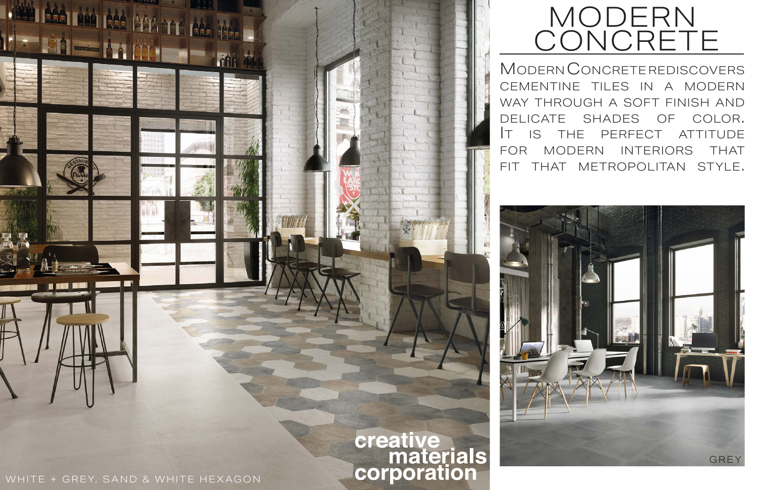Modern Concrete rediscovers cementine tiles in a modern way through a soft finish and delicate shades of color. It is the perfect attitude for modern interiors that fit that metropolitan style.





WHITE + GREY, SAND & WHITE HEXAGON

# MODERN **CONCRETE**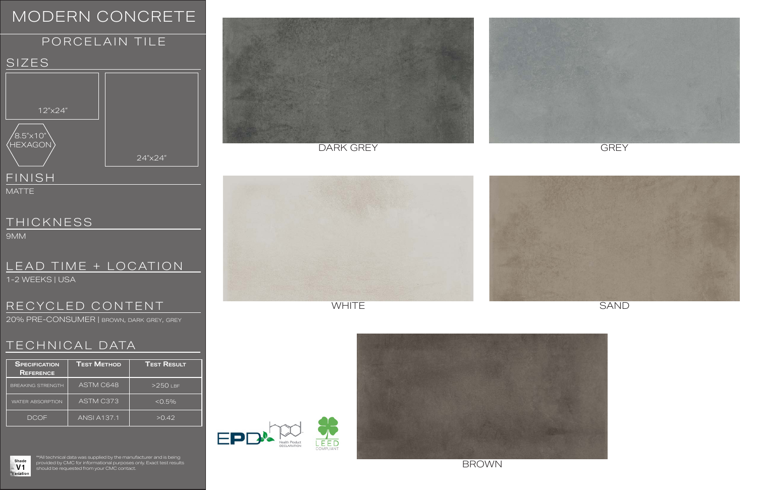9MM

#### TECHNICAL DATA

\*\*All technical data was supplied by the manufacturer and is being provided by CMC for informational purposes only. Exact test results should be requested from your CMC contact.









1-2 WEEKS | USA

| <b>SPECIFICATION</b><br><b>REFERENCE</b> | <b>TEST METHOD</b> | <b>TEST RESULT</b> |
|------------------------------------------|--------------------|--------------------|
| <b>BREAKING STRENGTH</b>                 | ASTM C648          | $>250$ LBF         |
| <b>WATER ABSORPTION</b>                  | <b>ASTM C373</b>   | $< 0.5\%$          |
| <b>DCOF</b>                              | <b>ANSI A137.1</b> | >0.42              |





### MODERN CONCRETE

MATTE

#### LEAD TIME + LOCATION

#### RECYCLED CONTENT

### PORCELAIN TILE SIZES **FINISH** 12"x24"  ${'}$ 8.5" $\times$ 10" HEXAGON 24"x24"

DARK GREY GEREY GREY





WHITE SAND

20% PRE-CONSUMER | brown, dark grey, grey



#### **THICKNESS**